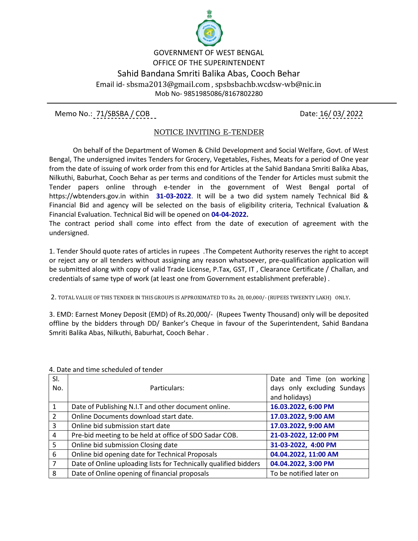

GOVERNMENT OF WEST BENGAL OFFICE OF THE SUPERINTENDENT Sahid Bandana Smriti Balika Abas, Cooch Behar Email id- sbsma2013@gmail.com , spsbsbachb.wcdsw-wb@nic.in Mob No- 9851985086/8167802280

Memo No.: 71/SBSBA / COB Date: 16/ 03/ 2022

## NOTICE INVITING E-TENDER

 On behalf of the Department of Women & Child Development and Social Welfare, Govt. of West Bengal, The undersigned invites Tenders for Grocery, Vegetables, Fishes, Meats for a period of One year from the date of issuing of work order from this end for Articles at the Sahid Bandana Smriti Balika Abas, Nilkuthi, Baburhat, Cooch Behar as per terms and conditions of the Tender for Articles must submit the Tender papers online through e-tender in the government of West Bengal portal of https://wbtenders.gov.in within **31-03-2022**. It will be a two did system namely Technical Bid & Financial Bid and agency will be selected on the basis of eligibility criteria, Technical Evaluation & Financial Evaluation. Technical Bid will be opened on **04-04-2022.**

The contract period shall come into effect from the date of execution of agreement with the undersigned.

1. Tender Should quote rates of articles in rupees .The Competent Authority reserves the right to accept or reject any or all tenders without assigning any reason whatsoever, pre-qualification application will be submitted along with copy of valid Trade License, P.Tax, GST, IT , Clearance Certificate / Challan, and credentials of same type of work (at least one from Government establishment preferable) .

2. TOTAL VALUE OF THIS TENDER IN THIS GROUPS IS APPROXIMATED TO Rs. 20, 00,000/- (RUPEES TWEENTY LAKH) ONLY.

3. EMD: Earnest Money Deposit (EMD) of Rs.20,000/- (Rupees Twenty Thousand) only will be deposited offline by the bidders through DD/ Banker's Cheque in favour of the Superintendent, Sahid Bandana Smriti Balika Abas, Nilkuthi, Baburhat, Cooch Behar .

| SI.<br>No.     | Particulars:                                                     | Date and Time (on working<br>days only excluding Sundays |
|----------------|------------------------------------------------------------------|----------------------------------------------------------|
|                |                                                                  | and holidays)                                            |
|                | Date of Publishing N.I.T and other document online.              | 16.03.2022, 6:00 PM                                      |
| $\overline{2}$ | Online Documents download start date.                            | 17.03.2022, 9:00 AM                                      |
| 3              | Online bid submission start date                                 | 17.03.2022, 9:00 AM                                      |
| 4              | Pre-bid meeting to be held at office of SDO Sadar COB.           | 21-03-2022, 12:00 PM                                     |
| 5              | Online bid submission Closing date                               | 31-03-2022, 4:00 PM                                      |
| 6              | Online bid opening date for Technical Proposals                  | 04.04.2022, 11:00 AM                                     |
| $\overline{7}$ | Date of Online uploading lists for Technically qualified bidders | 04.04.2022, 3:00 PM                                      |
| 8              | Date of Online opening of financial proposals                    | To be notified later on                                  |

4. Date and time scheduled of tender